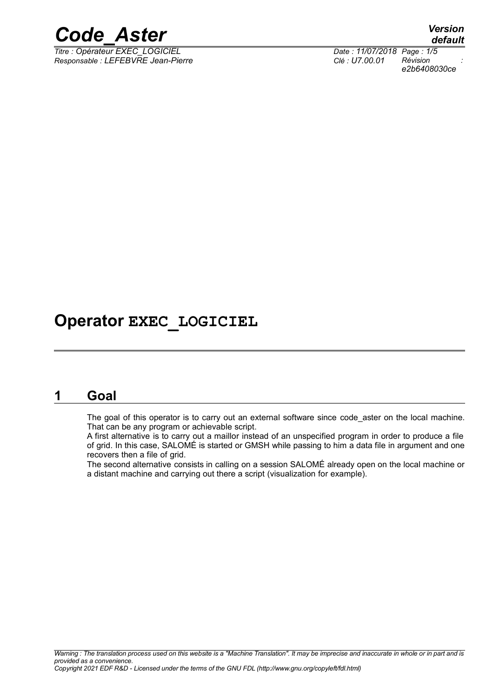

*Titre : Opérateur EXEC\_LOGICIEL Date : 11/07/2018 Page : 1/5 Responsable : LEFEBVRE Jean-Pierre Clé : U7.00.01 Révision :*

*default e2b6408030ce*

# **Operator EXEC\_LOGICIEL**

# **1 Goal**

The goal of this operator is to carry out an external software since code aster on the local machine. That can be any program or achievable script.

A first alternative is to carry out a maillor instead of an unspecified program in order to produce a file of grid. In this case, SALOMÉ is started or GMSH while passing to him a data file in argument and one recovers then a file of grid.

The second alternative consists in calling on a session SALOMÉ already open on the local machine or a distant machine and carrying out there a script (visualization for example).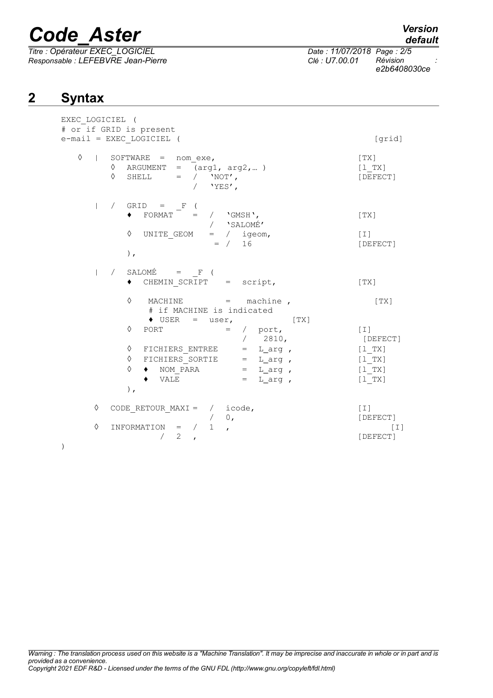*Titre : Opérateur EXEC\_LOGICIEL Date : 11/07/2018 Page : 2/5 Responsable : LEFEBVRE Jean-Pierre Clé : U7.00.01 Révision :*

```
default
```
*e2b6408030ce*

# **2 Syntax**

| EXEC LOGICIEL (<br># or if GRID is present                                                                                                                                                                                                                                                                                                                                                                                                          |                                                                               |
|-----------------------------------------------------------------------------------------------------------------------------------------------------------------------------------------------------------------------------------------------------------------------------------------------------------------------------------------------------------------------------------------------------------------------------------------------------|-------------------------------------------------------------------------------|
| e-mail = EXEC LOGICIEL (                                                                                                                                                                                                                                                                                                                                                                                                                            | [grid]                                                                        |
| ♦<br>$ $ SOFTWARE = nom exe,<br>$\Diamond$ ARGUMENT = $(\text{arg1, arg2,})$<br>$\Diamond \quad {\tt SHELL} \qquad = \quad / \quad \text{'}\text{NOT'} \text{,}$<br>/ $'YES'$ ,                                                                                                                                                                                                                                                                     | [TX]<br>[1 TX]<br>[DEFECT]                                                    |
| $\vert$ / GRID = F (<br>$\begin{array}{cccc}\n\text{FORMAT} & = & / & \text{VGMSH} \end{array},$<br>/ 'SALOMÉ'<br>UNITE_GEOM = $/$ igeom,<br>= $/$ 16<br>$\Diamond$<br>$)$ ,                                                                                                                                                                                                                                                                        | [TX]<br>$[\;1\;]$<br>[DEFECT]                                                 |
| $ $ / SALOMÉ = $_F$ (<br>◆ CHEMIN_SCRIPT = script,                                                                                                                                                                                                                                                                                                                                                                                                  | $\lceil TX \rceil$                                                            |
| ♦<br>$MACHINE$ = machine,<br># if MACHINE is indicated<br>$\bullet$ USER = user, [TX]<br>$=$ / port,<br>$\Diamond$<br>PORT<br>/ 2810,<br>$\begin{array}{ccccccccc} \lozenge & \texttt{FICHIERS\_ENTER} & = & \texttt{L\_arg} \ , \\ \lozenge & \texttt{FICHIERS\_SORTIE} & = & \texttt{L\_arg} \ , \\ \lozenge & \bullet & \texttt{NOM\_PARA} & = & \texttt{L\_arg} \ , \\ \bullet & \texttt{VALE} & = & \texttt{L\_arg} \ , \end{array}$<br>$\,$ , | [ TX ]<br>$[\;1\;]$<br>[DEFECT]<br>[1 TX]<br>$[1$ TX]<br>$[1$ TX]<br>$[1$ TX] |
| $CODE$ RETOUR MAXI = / icode,<br>♦                                                                                                                                                                                                                                                                                                                                                                                                                  | $[\;1\;]$<br>[DEFECT]                                                         |
| $\begin{array}{ccccccccc}\n\text{UNFORMATION} & = & / & 0, \\ \end{array}$<br>♦<br>2<br>$\lambda$                                                                                                                                                                                                                                                                                                                                                   | $\lceil 1 \rceil$<br>[DEFECT]                                                 |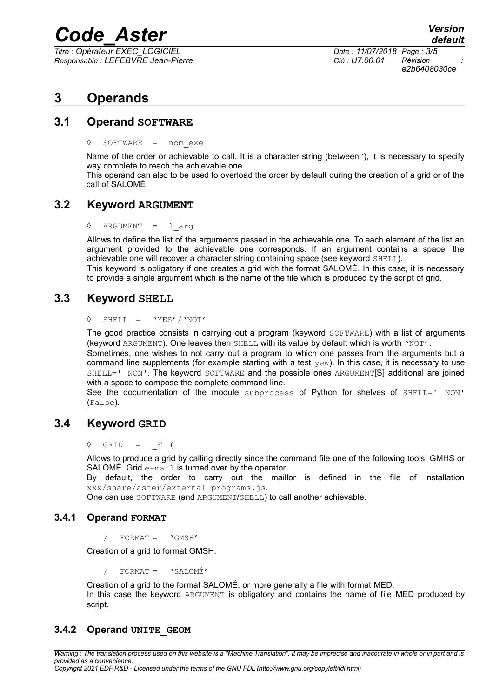*Titre : Opérateur EXEC\_LOGICIEL Date : 11/07/2018 Page : 3/5 Responsable : LEFEBVRE Jean-Pierre Clé : U7.00.01 Révision :*

*e2b6408030ce*

# **3 Operands**

# **3.1 Operand SOFTWARE**

SOFTWARE = nom exe

Name of the order or achievable to call. It is a character string (between '), it is necessary to specify way complete to reach the achievable one.

This operand can also to be used to overload the order by default during the creation of a grid or of the call of SALOMÉ.

# **3.2 Keyword ARGUMENT**

◊ ARGUMENT = l\_arg

Allows to define the list of the arguments passed in the achievable one. To each element of the list an argument provided to the achievable one corresponds. If an argument contains a space, the achievable one will recover a character string containing space (see keyword SHELL).

This keyword is obligatory if one creates a grid with the format SALOMÉ. In this case, it is necessary to provide a single argument which is the name of the file which is produced by the script of grid.

# **3.3 Keyword SHELL**

◊ SHELL = 'YES'/'NOT'

The good practice consists in carrying out a program (keyword SOFTWARE) with a list of arguments (keyword ARGUMENT). One leaves then SHELL with its value by default which is worth 'NOT'.

Sometimes, one wishes to not carry out a program to which one passes from the arguments but a command line supplements (for example starting with a test  $yew$ ). In this case, it is necessary to use SHELL=' NON'. The keyword SOFTWARE and the possible ones ARGUMENT[S] additional are joined with a space to compose the complete command line.

See the documentation of the module subprocess of Python for shelves of SHELL=' NON' (False).

# **3.4 Keyword GRID**

 $\Diamond$  GRID = F (

Allows to produce a grid by calling directly since the command file one of the following tools: GMHS or SALOMÉ. Grid e-mail is turned over by the operator.

By default, the order to carry out the maillor is defined in the file of installation xxx/share/aster/external\_programs.js.

One can use SOFTWARE (and ARGUMENT/SHELL) to call another achievable.

## **3.4.1 Operand FORMAT**

 $FORMAT = 'GMSH'$ 

Creation of a grid to format GMSH.

/ FORMAT = 'SALOMÉ'

Creation of a grid to the format SALOMÉ, or more generally a file with format MED. In this case the keyword ARGUMENT is obligatory and contains the name of file MED produced by script.

# **3.4.2 Operand UNITE\_GEOM**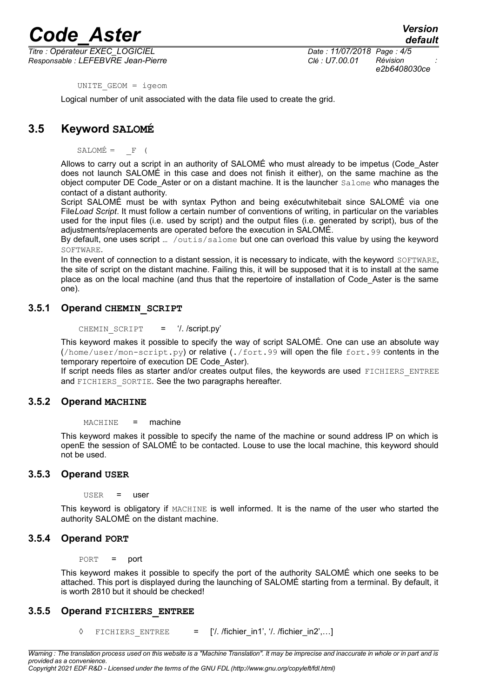*Titre : Opérateur EXEC\_LOGICIEL Date : 11/07/2018 Page : 4/5 Responsable : LEFEBVRE Jean-Pierre Clé : U7.00.01 Révision :*

*e2b6408030ce*

UNITE\_GEOM = igeom

Logical number of unit associated with the data file used to create the grid.

# **3.5 Keyword SALOMÉ**

 $SALOMÉ = F ($ 

Allows to carry out a script in an authority of SALOMÉ who must already to be impetus (Code\_Aster does not launch SALOMÉ in this case and does not finish it either), on the same machine as the object computer DE Code Aster or on a distant machine. It is the launcher Salome who manages the contact of a distant authority.

Script SALOMÉ must be with syntax Python and being exécutwhitebait since SALOMÉ via one File*Load Script*. It must follow a certain number of conventions of writing, in particular on the variables used for the input files (i.e. used by script) and the output files (i.e. generated by script), bus of the adjustments/replacements are operated before the execution in SALOMÉ.

By default, one uses script ... /outis/salome but one can overload this value by using the keyword SOFTWARE.

In the event of connection to a distant session, it is necessary to indicate, with the keyword SOFTWARE, the site of script on the distant machine. Failing this, it will be supposed that it is to install at the same place as on the local machine (and thus that the repertoire of installation of Code\_Aster is the same one).

## **3.5.1 Operand CHEMIN\_SCRIPT**

CHEMIN SCRIPT = '/. /script.py'

This keyword makes it possible to specify the way of script SALOMÉ. One can use an absolute way (/home/user/mon-script.py) or relative (./fort.99 will open the file fort.99 contents in the temporary repertoire of execution DE Code\_Aster).

If script needs files as starter and/or creates output files, the keywords are used FICHIERS ENTREE and FICHIERS SORTIE. See the two paragraphs hereafter.

## **3.5.2 Operand MACHINE**

MACHINE = machine

This keyword makes it possible to specify the name of the machine or sound address IP on which is openE the session of SALOMÉ to be contacted. Louse to use the local machine, this keyword should not be used.

## **3.5.3 Operand USER**

USER = user

This keyword is obligatory if MACHINE is well informed. It is the name of the user who started the authority SALOMÉ on the distant machine.

## **3.5.4 Operand PORT**

PORT = port

This keyword makes it possible to specify the port of the authority SALOMÉ which one seeks to be attached. This port is displayed during the launching of SALOMÉ starting from a terminal. By default, it is worth 2810 but it should be checked!

## **3.5.5 Operand FICHIERS\_ENTREE**

 $\Diamond$  FICHIERS ENTREE = ['/. /fichier\_in1', '/. /fichier\_in2',...]

*Warning : The translation process used on this website is a "Machine Translation". It may be imprecise and inaccurate in whole or in part and is provided as a convenience. Copyright 2021 EDF R&D - Licensed under the terms of the GNU FDL (http://www.gnu.org/copyleft/fdl.html)*